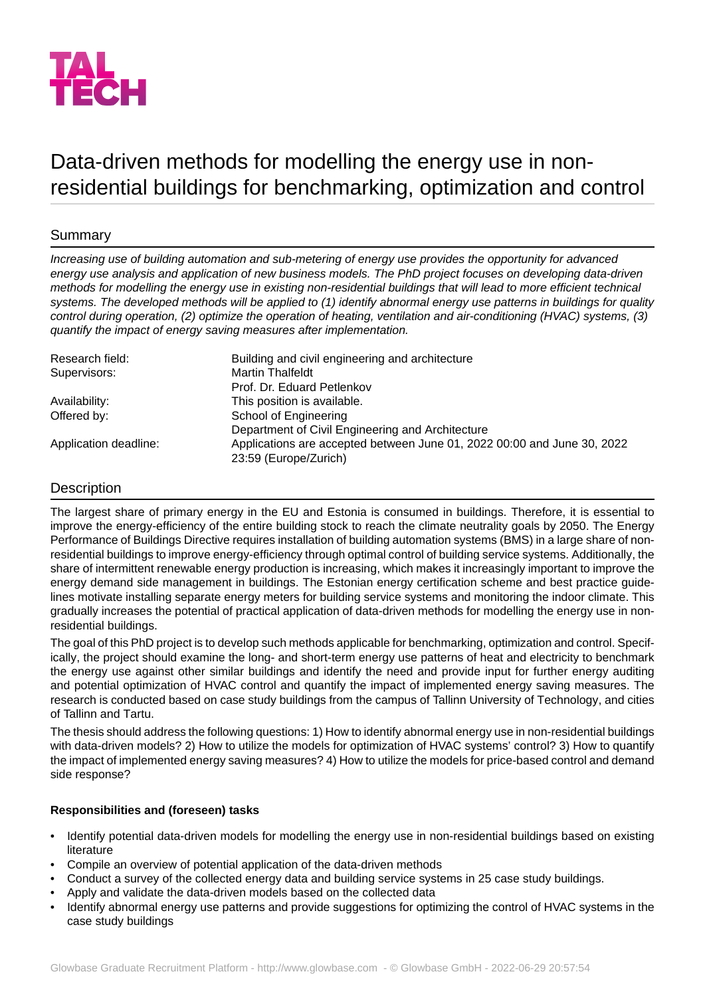

## Data-driven methods for modelling the energy use in nonresidential buildings for benchmarking, optimization and control

## Summary

*Increasing use of building automation and sub-metering of energy use provides the opportunity for advanced energy use analysis and application of new business models. The PhD project focuses on developing data-driven methods for modelling the energy use in existing non-residential buildings that will lead to more efficient technical systems. The developed methods will be applied to (1) identify abnormal energy use patterns in buildings for quality control during operation, (2) optimize the operation of heating, ventilation and air-conditioning (HVAC) systems, (3) quantify the impact of energy saving measures after implementation.*

| Research field:       | Building and civil engineering and architecture                         |
|-----------------------|-------------------------------------------------------------------------|
| Supervisors:          | <b>Martin Thalfeldt</b>                                                 |
|                       | Prof. Dr. Eduard Petlenkov                                              |
| Availability:         | This position is available.                                             |
| Offered by:           | School of Engineering                                                   |
|                       | Department of Civil Engineering and Architecture                        |
| Application deadline: | Applications are accepted between June 01, 2022 00:00 and June 30, 2022 |
|                       | 23:59 (Europe/Zurich)                                                   |

## Description

The largest share of primary energy in the EU and Estonia is consumed in buildings. Therefore, it is essential to improve the energy-efficiency of the entire building stock to reach the climate neutrality goals by 2050. The Energy Performance of Buildings Directive requires installation of building automation systems (BMS) in a large share of nonresidential buildings to improve energy-efficiency through optimal control of building service systems. Additionally, the share of intermittent renewable energy production is increasing, which makes it increasingly important to improve the energy demand side management in buildings. The Estonian energy certification scheme and best practice guidelines motivate installing separate energy meters for building service systems and monitoring the indoor climate. This gradually increases the potential of practical application of data-driven methods for modelling the energy use in nonresidential buildings.

The goal of this PhD project is to develop such methods applicable for benchmarking, optimization and control. Specifically, the project should examine the long- and short-term energy use patterns of heat and electricity to benchmark the energy use against other similar buildings and identify the need and provide input for further energy auditing and potential optimization of HVAC control and quantify the impact of implemented energy saving measures. The research is conducted based on case study buildings from the campus of Tallinn University of Technology, and cities of Tallinn and Tartu.

The thesis should address the following questions: 1) How to identify abnormal energy use in non-residential buildings with data-driven models? 2) How to utilize the models for optimization of HVAC systems' control? 3) How to quantify the impact of implemented energy saving measures? 4) How to utilize the models for price-based control and demand side response?

## **Responsibilities and (foreseen) tasks**

- Identify potential data-driven models for modelling the energy use in non-residential buildings based on existing literature
- Compile an overview of potential application of the data-driven methods
- Conduct a survey of the collected energy data and building service systems in 25 case study buildings.
- Apply and validate the data-driven models based on the collected data
- Identify abnormal energy use patterns and provide suggestions for optimizing the control of HVAC systems in the case study buildings